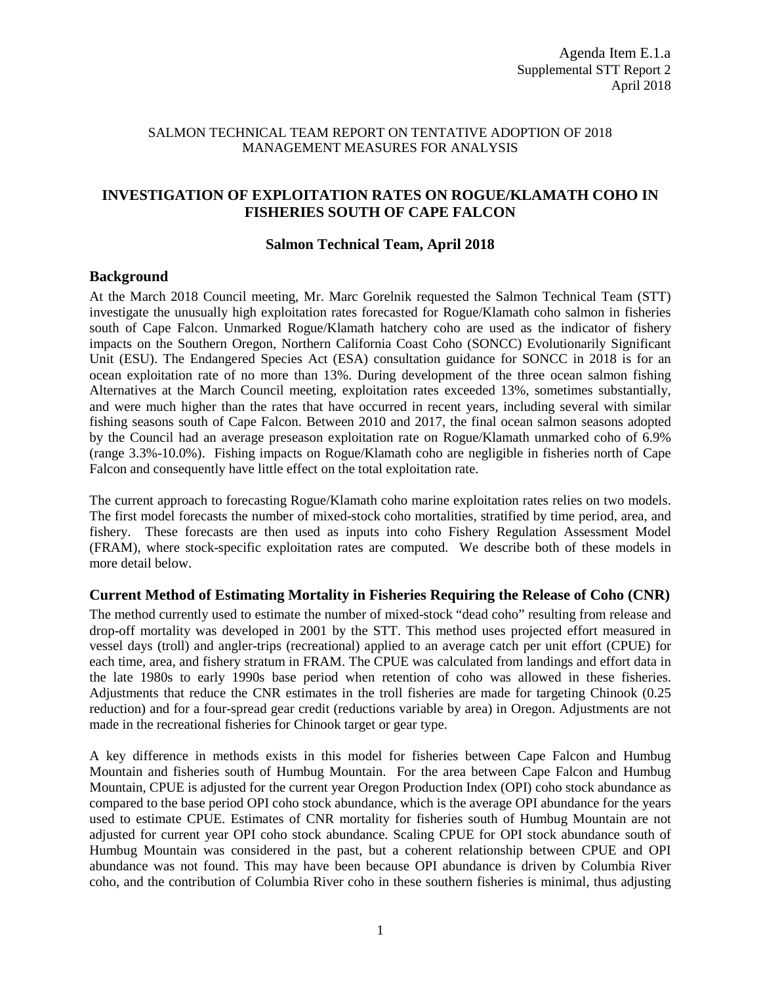## SALMON TECHNICAL TEAM REPORT ON TENTATIVE ADOPTION OF 2018 MANAGEMENT MEASURES FOR ANALYSIS

# **INVESTIGATION OF EXPLOITATION RATES ON ROGUE/KLAMATH COHO IN FISHERIES SOUTH OF CAPE FALCON**

#### **Salmon Technical Team, April 2018**

### **Background**

At the March 2018 Council meeting, Mr. Marc Gorelnik requested the Salmon Technical Team (STT) investigate the unusually high exploitation rates forecasted for Rogue/Klamath coho salmon in fisheries south of Cape Falcon. Unmarked Rogue/Klamath hatchery coho are used as the indicator of fishery impacts on the Southern Oregon, Northern California Coast Coho (SONCC) Evolutionarily Significant Unit (ESU). The Endangered Species Act (ESA) consultation guidance for SONCC in 2018 is for an ocean exploitation rate of no more than 13%. During development of the three ocean salmon fishing Alternatives at the March Council meeting, exploitation rates exceeded 13%, sometimes substantially, and were much higher than the rates that have occurred in recent years, including several with similar fishing seasons south of Cape Falcon. Between 2010 and 2017, the final ocean salmon seasons adopted by the Council had an average preseason exploitation rate on Rogue/Klamath unmarked coho of 6.9% (range 3.3%-10.0%). Fishing impacts on Rogue/Klamath coho are negligible in fisheries north of Cape Falcon and consequently have little effect on the total exploitation rate.

The current approach to forecasting Rogue/Klamath coho marine exploitation rates relies on two models. The first model forecasts the number of mixed-stock coho mortalities, stratified by time period, area, and fishery. These forecasts are then used as inputs into coho Fishery Regulation Assessment Model (FRAM), where stock-specific exploitation rates are computed. We describe both of these models in more detail below.

## **Current Method of Estimating Mortality in Fisheries Requiring the Release of Coho (CNR)**

The method currently used to estimate the number of mixed-stock "dead coho" resulting from release and drop-off mortality was developed in 2001 by the STT. This method uses projected effort measured in vessel days (troll) and angler-trips (recreational) applied to an average catch per unit effort (CPUE) for each time, area, and fishery stratum in FRAM. The CPUE was calculated from landings and effort data in the late 1980s to early 1990s base period when retention of coho was allowed in these fisheries. Adjustments that reduce the CNR estimates in the troll fisheries are made for targeting Chinook (0.25 reduction) and for a four-spread gear credit (reductions variable by area) in Oregon. Adjustments are not made in the recreational fisheries for Chinook target or gear type.

A key difference in methods exists in this model for fisheries between Cape Falcon and Humbug Mountain and fisheries south of Humbug Mountain. For the area between Cape Falcon and Humbug Mountain, CPUE is adjusted for the current year Oregon Production Index (OPI) coho stock abundance as compared to the base period OPI coho stock abundance, which is the average OPI abundance for the years used to estimate CPUE. Estimates of CNR mortality for fisheries south of Humbug Mountain are not adjusted for current year OPI coho stock abundance. Scaling CPUE for OPI stock abundance south of Humbug Mountain was considered in the past, but a coherent relationship between CPUE and OPI abundance was not found. This may have been because OPI abundance is driven by Columbia River coho, and the contribution of Columbia River coho in these southern fisheries is minimal, thus adjusting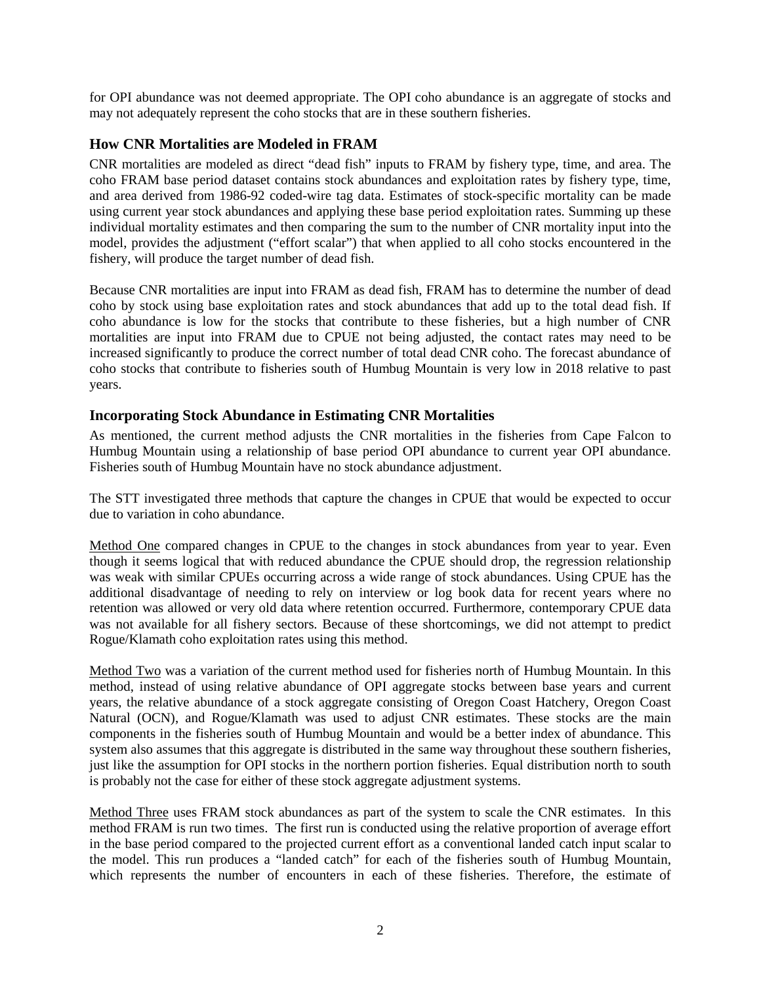for OPI abundance was not deemed appropriate. The OPI coho abundance is an aggregate of stocks and may not adequately represent the coho stocks that are in these southern fisheries.

# **How CNR Mortalities are Modeled in FRAM**

CNR mortalities are modeled as direct "dead fish" inputs to FRAM by fishery type, time, and area. The coho FRAM base period dataset contains stock abundances and exploitation rates by fishery type, time, and area derived from 1986-92 coded-wire tag data. Estimates of stock-specific mortality can be made using current year stock abundances and applying these base period exploitation rates. Summing up these individual mortality estimates and then comparing the sum to the number of CNR mortality input into the model, provides the adjustment ("effort scalar") that when applied to all coho stocks encountered in the fishery, will produce the target number of dead fish.

Because CNR mortalities are input into FRAM as dead fish, FRAM has to determine the number of dead coho by stock using base exploitation rates and stock abundances that add up to the total dead fish. If coho abundance is low for the stocks that contribute to these fisheries, but a high number of CNR mortalities are input into FRAM due to CPUE not being adjusted, the contact rates may need to be increased significantly to produce the correct number of total dead CNR coho. The forecast abundance of coho stocks that contribute to fisheries south of Humbug Mountain is very low in 2018 relative to past years.

# **Incorporating Stock Abundance in Estimating CNR Mortalities**

As mentioned, the current method adjusts the CNR mortalities in the fisheries from Cape Falcon to Humbug Mountain using a relationship of base period OPI abundance to current year OPI abundance. Fisheries south of Humbug Mountain have no stock abundance adjustment.

The STT investigated three methods that capture the changes in CPUE that would be expected to occur due to variation in coho abundance.

Method One compared changes in CPUE to the changes in stock abundances from year to year. Even though it seems logical that with reduced abundance the CPUE should drop, the regression relationship was weak with similar CPUEs occurring across a wide range of stock abundances. Using CPUE has the additional disadvantage of needing to rely on interview or log book data for recent years where no retention was allowed or very old data where retention occurred. Furthermore, contemporary CPUE data was not available for all fishery sectors. Because of these shortcomings, we did not attempt to predict Rogue/Klamath coho exploitation rates using this method.

Method Two was a variation of the current method used for fisheries north of Humbug Mountain. In this method, instead of using relative abundance of OPI aggregate stocks between base years and current years, the relative abundance of a stock aggregate consisting of Oregon Coast Hatchery, Oregon Coast Natural (OCN), and Rogue/Klamath was used to adjust CNR estimates. These stocks are the main components in the fisheries south of Humbug Mountain and would be a better index of abundance. This system also assumes that this aggregate is distributed in the same way throughout these southern fisheries, just like the assumption for OPI stocks in the northern portion fisheries. Equal distribution north to south is probably not the case for either of these stock aggregate adjustment systems.

Method Three uses FRAM stock abundances as part of the system to scale the CNR estimates. In this method FRAM is run two times. The first run is conducted using the relative proportion of average effort in the base period compared to the projected current effort as a conventional landed catch input scalar to the model. This run produces a "landed catch" for each of the fisheries south of Humbug Mountain, which represents the number of encounters in each of these fisheries. Therefore, the estimate of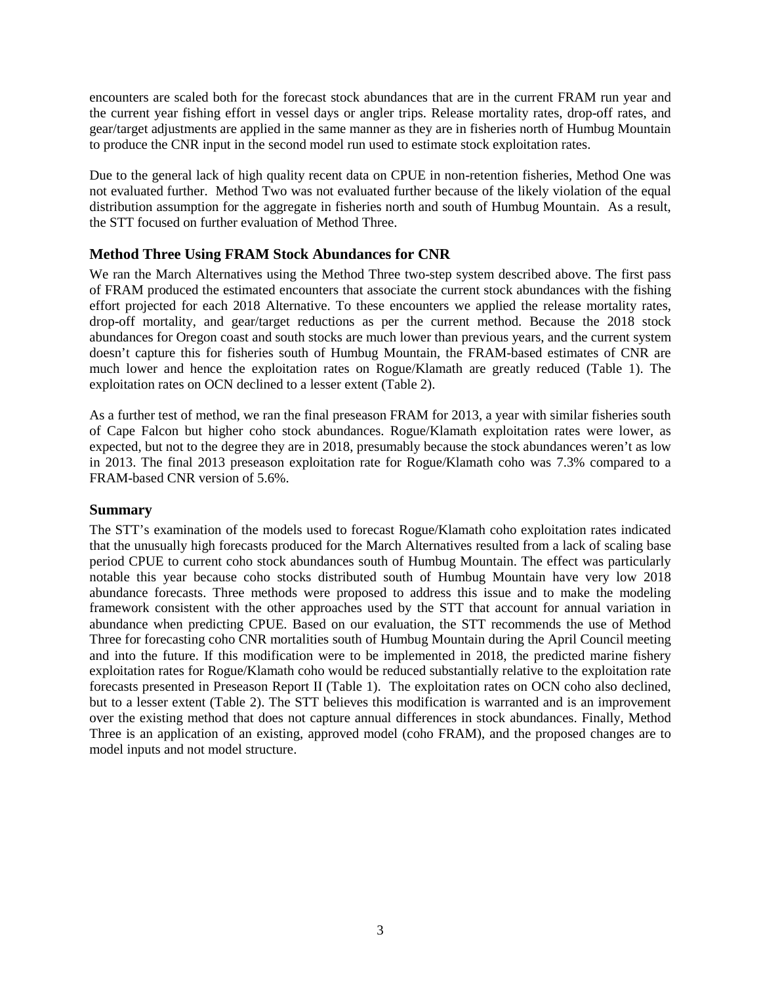encounters are scaled both for the forecast stock abundances that are in the current FRAM run year and the current year fishing effort in vessel days or angler trips. Release mortality rates, drop-off rates, and gear/target adjustments are applied in the same manner as they are in fisheries north of Humbug Mountain to produce the CNR input in the second model run used to estimate stock exploitation rates.

Due to the general lack of high quality recent data on CPUE in non-retention fisheries, Method One was not evaluated further. Method Two was not evaluated further because of the likely violation of the equal distribution assumption for the aggregate in fisheries north and south of Humbug Mountain. As a result, the STT focused on further evaluation of Method Three.

# **Method Three Using FRAM Stock Abundances for CNR**

We ran the March Alternatives using the Method Three two-step system described above. The first pass of FRAM produced the estimated encounters that associate the current stock abundances with the fishing effort projected for each 2018 Alternative. To these encounters we applied the release mortality rates, drop-off mortality, and gear/target reductions as per the current method. Because the 2018 stock abundances for Oregon coast and south stocks are much lower than previous years, and the current system doesn't capture this for fisheries south of Humbug Mountain, the FRAM-based estimates of CNR are much lower and hence the exploitation rates on Rogue/Klamath are greatly reduced (Table 1). The exploitation rates on OCN declined to a lesser extent (Table 2).

As a further test of method, we ran the final preseason FRAM for 2013, a year with similar fisheries south of Cape Falcon but higher coho stock abundances. Rogue/Klamath exploitation rates were lower, as expected, but not to the degree they are in 2018, presumably because the stock abundances weren't as low in 2013. The final 2013 preseason exploitation rate for Rogue/Klamath coho was 7.3% compared to a FRAM-based CNR version of 5.6%.

# **Summary**

The STT's examination of the models used to forecast Rogue/Klamath coho exploitation rates indicated that the unusually high forecasts produced for the March Alternatives resulted from a lack of scaling base period CPUE to current coho stock abundances south of Humbug Mountain. The effect was particularly notable this year because coho stocks distributed south of Humbug Mountain have very low 2018 abundance forecasts. Three methods were proposed to address this issue and to make the modeling framework consistent with the other approaches used by the STT that account for annual variation in abundance when predicting CPUE. Based on our evaluation, the STT recommends the use of Method Three for forecasting coho CNR mortalities south of Humbug Mountain during the April Council meeting and into the future. If this modification were to be implemented in 2018, the predicted marine fishery exploitation rates for Rogue/Klamath coho would be reduced substantially relative to the exploitation rate forecasts presented in Preseason Report II (Table 1). The exploitation rates on OCN coho also declined, but to a lesser extent (Table 2). The STT believes this modification is warranted and is an improvement over the existing method that does not capture annual differences in stock abundances. Finally, Method Three is an application of an existing, approved model (coho FRAM), and the proposed changes are to model inputs and not model structure.